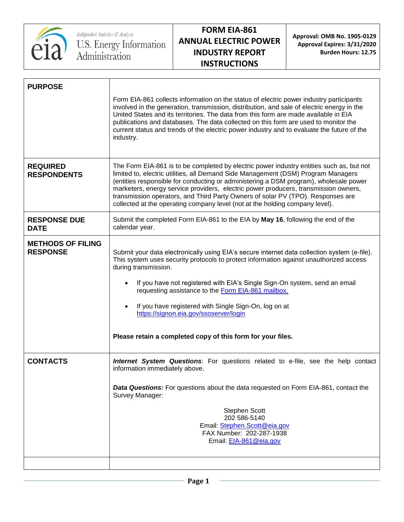

**Approval: OMB No. 1905-0129 Approval Expires: 3/31/2020 Burden Hours: 12.75**

| <b>PURPOSE</b>                              |                                                                                                                                                                                                                                                                                                                                                                                                                                                                                                                                                |
|---------------------------------------------|------------------------------------------------------------------------------------------------------------------------------------------------------------------------------------------------------------------------------------------------------------------------------------------------------------------------------------------------------------------------------------------------------------------------------------------------------------------------------------------------------------------------------------------------|
|                                             | Form EIA-861 collects information on the status of electric power industry participants<br>involved in the generation, transmission, distribution, and sale of electric energy in the<br>United States and its territories. The data from this form are made available in EIA<br>publications and databases. The data collected on this form are used to monitor the<br>current status and trends of the electric power industry and to evaluate the future of the<br>industry.                                                                |
| <b>REQUIRED</b><br><b>RESPONDENTS</b>       | The Form EIA-861 is to be completed by electric power industry entities such as, but not<br>limited to, electric utilities, all Demand Side Management (DSM) Program Managers<br>(entities responsible for conducting or administering a DSM program), wholesale power<br>marketers, energy service providers, electric power producers, transmission owners,<br>transmission operators, and Third Party Owners of solar PV (TPO). Responses are<br>collected at the operating company level (not at the holding company level).               |
| <b>RESPONSE DUE</b><br><b>DATE</b>          | Submit the completed Form EIA-861 to the EIA by May 16, following the end of the<br>calendar year.                                                                                                                                                                                                                                                                                                                                                                                                                                             |
| <b>METHODS OF FILING</b><br><b>RESPONSE</b> | Submit your data electronically using EIA's secure internet data collection system (e-file).<br>This system uses security protocols to protect information against unauthorized access<br>during transmission.<br>If you have not registered with EIA's Single Sign-On system, send an email<br>$\bullet$<br>requesting assistance to the Form EIA-861 mailbox.<br>If you have registered with Single Sign-On, log on at<br>$\bullet$<br>https://signon.eia.gov/ssoserver/login<br>Please retain a completed copy of this form for your files. |
| <b>CONTACTS</b>                             | <b>Internet System Questions:</b> For questions related to e-file, see the help contact<br>information immediately above.<br><b>Data Questions:</b> For questions about the data requested on Form EIA-861, contact the<br>Survey Manager:<br><b>Stephen Scott</b>                                                                                                                                                                                                                                                                             |
|                                             | 202 586-5140<br>Email: Stephen.Scott@eia.gov<br>FAX Number: 202-287-1938<br>Email: EIA-861@eia.gov                                                                                                                                                                                                                                                                                                                                                                                                                                             |
|                                             |                                                                                                                                                                                                                                                                                                                                                                                                                                                                                                                                                |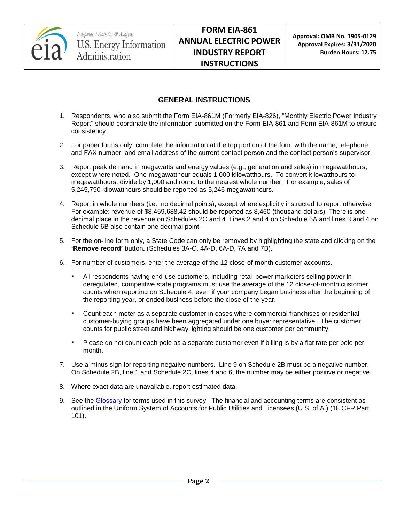

## **GENERAL INSTRUCTIONS**

- 1. Respondents, who also submit the Form EIA-861M (Formerly EIA-826), "Monthly Electric Power Industry Report" should coordinate the information submitted on the Form EIA-861 and Form EIA-861M to ensure consistency.
- 2. For paper forms only, complete the information at the top portion of the form with the name, telephone and FAX number, and email address of the current contact person and the contact person's supervisor.
- 3. Report peak demand in megawatts and energy values (e.g., generation and sales) in megawatthours, except where noted. One megawatthour equals 1,000 kilowatthours. To convert kilowatthours to megawatthours, divide by 1,000 and round to the nearest whole number. For example, sales of 5,245,790 kilowatthours should be reported as 5,246 megawatthours.
- 4. Report in whole numbers (i.e., no decimal points), except where explicitly instructed to report otherwise. For example: revenue of \$8,459,688.42 should be reported as 8,460 (thousand dollars). There is one decimal place in the revenue on Schedules 2C and 4. Lines 2 and 4 on Schedule 6A and lines 3 and 4 on Schedule 6B also contain one decimal point.
- 5. For the on-line form only, a State Code can only be removed by highlighting the state and clicking on the **'Remove record'** button**.** (Schedules 3A-C, 4A-D, 6A-D, 7A and 7B).
- 6. For number of customers, enter the average of the 12 close-of-month customer accounts.
	- All respondents having end-use customers, including retail power marketers selling power in deregulated, competitive state programs must use the average of the 12 close-of-month customer counts when reporting on Schedule 4, even if your company began business after the beginning of the reporting year, or ended business before the close of the year.
	- Count each meter as a separate customer in cases where commercial franchises or residential customer-buying groups have been aggregated under one buyer representative. The customer counts for public street and highway lighting should be one customer per community.
	- Please do not count each pole as a separate customer even if billing is by a flat rate per pole per month.
- 7. Use a minus sign for reporting negative numbers. Line 9 on Schedule 2B must be a negative number. On Schedule 2B, line 1 and Schedule 2C, lines 4 and 6, the number may be either positive or negative.
- 8. Where exact data are unavailable, report estimated data.
- 9. See the [Glossary](http://www.eia.gov/tools/glossary/) for terms used in this survey. The financial and accounting terms are consistent as outlined in the Uniform System of Accounts for Public Utilities and Licensees (U.S. of A.) (18 CFR Part 101).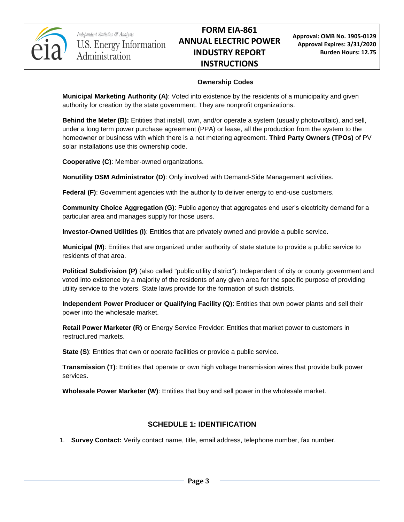

#### **Ownership Codes**

**Municipal Marketing Authority (A)**: Voted into existence by the residents of a municipality and given authority for creation by the state government. They are nonprofit organizations.

**Behind the Meter (B):** Entities that install, own, and/or operate a system (usually photovoltaic), and sell, under a long term power purchase agreement (PPA) or lease, all the production from the system to the homeowner or business with which there is a net metering agreement. **Third Party Owners (TPOs)** of PV solar installations use this ownership code.

**Cooperative (C)**: Member-owned organizations.

**Nonutility DSM Administrator (D)**: Only involved with Demand-Side Management activities.

**Federal (F)**: Government agencies with the authority to deliver energy to end-use customers.

**Community Choice Aggregation (G)**: Public agency that aggregates end user's electricity demand for a particular area and manages supply for those users.

**Investor-Owned Utilities (I)**: Entities that are privately owned and provide a public service.

**Municipal (M)**: Entities that are organized under authority of state statute to provide a public service to residents of that area.

**Political Subdivision (P)** (also called "public utility district"): Independent of city or county government and voted into existence by a majority of the residents of any given area for the specific purpose of providing utility service to the voters. State laws provide for the formation of such districts.

**Independent Power Producer or Qualifying Facility (Q)**: Entities that own power plants and sell their power into the wholesale market.

**Retail Power Marketer (R)** or Energy Service Provider: Entities that market power to customers in restructured markets.

**State (S)**: Entities that own or operate facilities or provide a public service.

**Transmission (T)**: Entities that operate or own high voltage transmission wires that provide bulk power services.

**Wholesale Power Marketer (W)**: Entities that buy and sell power in the wholesale market.

## **SCHEDULE 1: IDENTIFICATION**

1. **Survey Contact:** Verify contact name, title, email address, telephone number, fax number.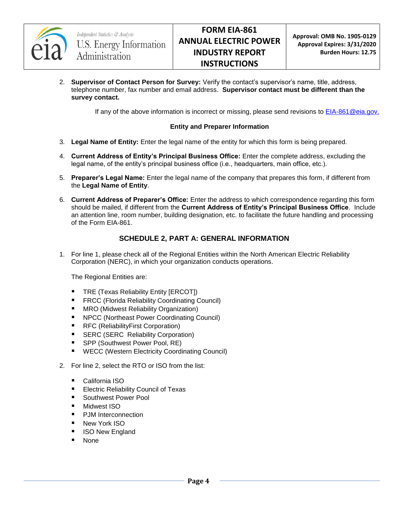

2. **Supervisor of Contact Person for Survey:** Verify the contact's supervisor's name, title, address, telephone number, fax number and email address. **Supervisor contact must be different than the survey contact.**

If any of the above information is incorrect or missing, please send revisions to [EIA-861@eia.gov.](mailto:EIA-861@eia.gov)

#### **Entity and Preparer Information**

- 3. **Legal Name of Entity:** Enter the legal name of the entity for which this form is being prepared.
- 4. **Current Address of Entity's Principal Business Office:** Enter the complete address, excluding the legal name, of the entity's principal business office (i.e., headquarters, main office, etc.).
- 5. **Preparer's Legal Name:** Enter the legal name of the company that prepares this form, if different from the **Legal Name of Entity**.
- 6. **Current Address of Preparer's Office:** Enter the address to which correspondence regarding this form should be mailed, if different from the **Current Address of Entity's Principal Business Office**. Include an attention line, room number, building designation, etc. to facilitate the future handling and processing of the Form EIA-861.

#### **SCHEDULE 2, PART A: GENERAL INFORMATION**

1. For line 1, please check all of the Regional Entities within the North American Electric Reliability Corporation (NERC), in which your organization conducts operations.

The Regional Entities are:

- **TRE (Texas Reliability Entity [ERCOT])**
- **FRCC (Florida Reliability Coordinating Council)**
- **MRO** (Midwest Reliability Organization)
- NPCC (Northeast Power Coordinating Council)
- RFC (ReliabilityFirst Corporation)
- **SERC (SERC Reliability Corporation)**
- SPP (Southwest Power Pool, RE)
- **WECC (Western Electricity Coordinating Council)**
- 2. For line 2, select the RTO or ISO from the list:
	- California ISO
	- **Electric Reliability Council of Texas**
	- Southwest Power Pool
	- **Midwest ISO**
	- PJM Interconnection
	- **New York ISO**
	- **I** ISO New England
	- None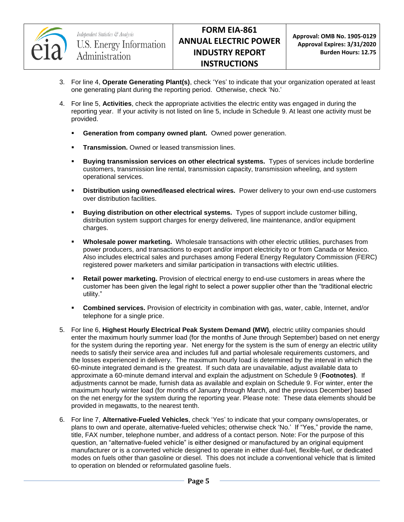

- 3. For line 4, **Operate Generating Plant(s)**, check 'Yes' to indicate that your organization operated at least one generating plant during the reporting period. Otherwise, check 'No.'
- 4. For line 5, **Activities**, check the appropriate activities the electric entity was engaged in during the reporting year. If your activity is not listed on line 5, include in Schedule 9. At least one activity must be provided.
	- **Generation from company owned plant.** Owned power generation.
	- **Transmission.** Owned or leased transmission lines.
	- **Buying transmission services on other electrical systems.** Types of services include borderline customers, transmission line rental, transmission capacity, transmission wheeling, and system operational services.
	- **Distribution using owned/leased electrical wires.** Power delivery to your own end-use customers over distribution facilities.
	- **Buying distribution on other electrical systems.** Types of support include customer billing, distribution system support charges for energy delivered, line maintenance, and/or equipment charges.
	- **Wholesale power marketing.** Wholesale transactions with other electric utilities, purchases from power producers, and transactions to export and/or import electricity to or from Canada or Mexico. Also includes electrical sales and purchases among Federal Energy Regulatory Commission (FERC) registered power marketers and similar participation in transactions with electric utilities.
	- **Retail power marketing.** Provision of electrical energy to end-use customers in areas where the customer has been given the legal right to select a power supplier other than the "traditional electric utility."
	- **Combined services.** Provision of electricity in combination with gas, water, cable, Internet, and/or telephone for a single price.
- 5. For line 6, **Highest Hourly Electrical Peak System Demand (MW)**, electric utility companies should enter the maximum hourly summer load (for the months of June through September) based on net energy for the system during the reporting year. Net energy for the system is the sum of energy an electric utility needs to satisfy their service area and includes full and partial wholesale requirements customers, and the losses experienced in delivery. The maximum hourly load is determined by the interval in which the 60-minute integrated demand is the greatest. If such data are unavailable, adjust available data to approximate a 60-minute demand interval and explain the adjustment on Schedule 9 (**Footnotes)**. If adjustments cannot be made, furnish data as available and explain on Schedule 9. For winter, enter the maximum hourly winter load (for months of January through March, and the previous December) based on the net energy for the system during the reporting year. Please note: These data elements should be provided in megawatts, to the nearest tenth.
- 6. For line 7, **Alternative-Fueled Vehicles**, check 'Yes' to indicate that your company owns/operates, or plans to own and operate, alternative-fueled vehicles; otherwise check 'No.' If "Yes," provide the name, title, FAX number, telephone number, and address of a contact person. Note: For the purpose of this question, an "alternative-fueled vehicle" is either designed or manufactured by an original equipment manufacturer or is a converted vehicle designed to operate in either dual-fuel, flexible-fuel, or dedicated modes on fuels other than gasoline or diesel. This does not include a conventional vehicle that is limited to operation on blended or reformulated gasoline fuels.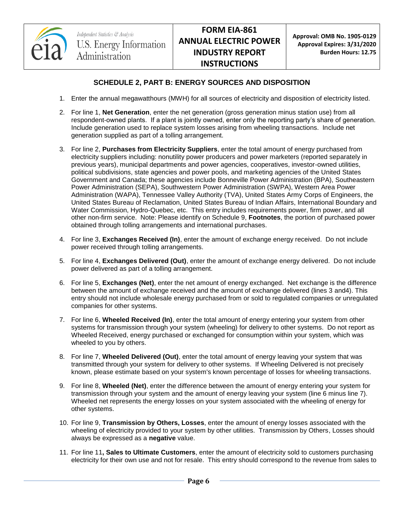

## **SCHEDULE 2, PART B: ENERGY SOURCES AND DISPOSITION**

- 1. Enter the annual megawatthours (MWH) for all sources of electricity and disposition of electricity listed.
- 2. For line 1, **Net Generation**, enter the net generation (gross generation minus station use) from all respondent-owned plants. If a plant is jointly owned, enter only the reporting party's share of generation. Include generation used to replace system losses arising from wheeling transactions. Include net generation supplied as part of a tolling arrangement.
- 3. For line 2, **Purchases from Electricity Suppliers**, enter the total amount of energy purchased from electricity suppliers including: nonutility power producers and power marketers (reported separately in previous years), municipal departments and power agencies, cooperatives, investor-owned utilities, political subdivisions, state agencies and power pools, and marketing agencies of the United States Government and Canada; these agencies include Bonneville Power Administration (BPA), Southeastern Power Administration (SEPA), Southwestern Power Administration (SWPA), Western Area Power Administration (WAPA), Tennessee Valley Authority (TVA), United States Army Corps of Engineers, the United States Bureau of Reclamation, United States Bureau of Indian Affairs, International Boundary and Water Commission, Hydro-Quebec, etc. This entry includes requirements power, firm power, and all other non-firm service. Note: Please identify on Schedule 9, **Footnotes**, the portion of purchased power obtained through tolling arrangements and international purchases.
- 4. For line 3, **Exchanges Received (In)**, enter the amount of exchange energy received. Do not include power received through tolling arrangements.
- 5. For line 4, **Exchanges Delivered (Out)**, enter the amount of exchange energy delivered. Do not include power delivered as part of a tolling arrangement.
- 6. For line 5, **Exchanges (Net)**, enter the net amount of energy exchanged. Net exchange is the difference between the amount of exchange received and the amount of exchange delivered (lines 3 and4). This entry should not include wholesale energy purchased from or sold to regulated companies or unregulated companies for other systems.
- 7. For line 6, **Wheeled Received (In)**, enter the total amount of energy entering your system from other systems for transmission through your system (wheeling) for delivery to other systems. Do not report as Wheeled Received, energy purchased or exchanged for consumption within your system, which was wheeled to you by others.
- 8. For line 7, **Wheeled Delivered (Out)**, enter the total amount of energy leaving your system that was transmitted through your system for delivery to other systems. If Wheeling Delivered is not precisely known, please estimate based on your system's known percentage of losses for wheeling transactions.
- 9. For line 8, **Wheeled (Net)**, enter the difference between the amount of energy entering your system for transmission through your system and the amount of energy leaving your system (line 6 minus line 7). Wheeled net represents the energy losses on your system associated with the wheeling of energy for other systems.
- 10. For line 9, **Transmission by Others, Losses**, enter the amount of energy losses associated with the wheeling of electricity provided to your system by other utilities. Transmission by Others, Losses should always be expressed as a **negative** value.
- 11. For line 11**, Sales to Ultimate Customers**, enter the amount of electricity sold to customers purchasing electricity for their own use and not for resale. This entry should correspond to the revenue from sales to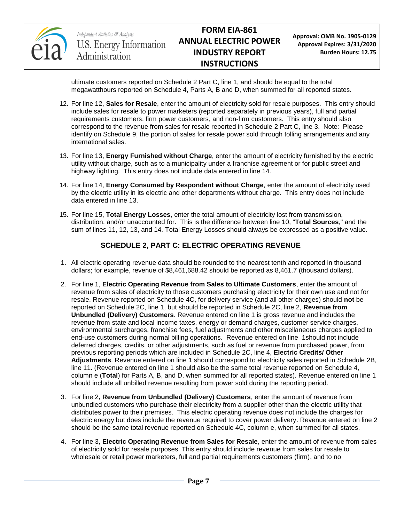

**Approval: OMB No. 1905-0129 Approval Expires: 3/31/2020 Burden Hours: 12.75**

ultimate customers reported on Schedule 2 Part C, line 1, and should be equal to the total megawatthours reported on Schedule 4, Parts A, B and D, when summed for all reported states.

- 12. For line 12, **Sales for Resale**, enter the amount of electricity sold for resale purposes. This entry should include sales for resale to power marketers (reported separately in previous years), full and partial requirements customers, firm power customers, and non-firm customers. This entry should also correspond to the revenue from sales for resale reported in Schedule 2 Part C, line 3. Note: Please identify on Schedule 9, the portion of sales for resale power sold through tolling arrangements and any international sales.
- 13. For line 13, **Energy Furnished without Charge**, enter the amount of electricity furnished by the electric utility without charge, such as to a municipality under a franchise agreement or for public street and highway lighting. This entry does not include data entered in line 14.
- 14. For line 14, **Energy Consumed by Respondent without Charge**, enter the amount of electricity used by the electric utility in its electric and other departments without charge. This entry does not include data entered in line 13.
- 15. For line 15, **Total Energy Losses**, enter the total amount of electricity lost from transmission, distribution, and/or unaccounted for. This is the difference between line 10, "**Total Sources**," and the sum of lines 11, 12, 13, and 14. Total Energy Losses should always be expressed as a positive value.

# **SCHEDULE 2, PART C: ELECTRIC OPERATING REVENUE**

- 1. All electric operating revenue data should be rounded to the nearest tenth and reported in thousand dollars; for example, revenue of \$8,461,688.42 should be reported as 8,461.7 (thousand dollars).
- 2. For line 1, **Electric Operating Revenue from Sales to Ultimate Customers**, enter the amount of revenue from sales of electricity to those customers purchasing electricity for their own use and not for resale. Revenue reported on Schedule 4C, for delivery service (and all other charges) should **not** be reported on Schedule 2C, line 1, but should be reported in Schedule 2C, line 2, **Revenue from Unbundled (Delivery) Customers**. Revenue entered on line 1 is gross revenue and includes the revenue from state and local income taxes, energy or demand charges, customer service charges, environmental surcharges, franchise fees, fuel adjustments and other miscellaneous charges applied to end-use customers during normal billing operations. Revenue entered on line 1should not include deferred charges, credits, or other adjustments, such as fuel or revenue from purchased power, from previous reporting periods which are included in Schedule 2C, line 4, **Electric Credits/ Other Adjustments**. Revenue entered on line 1 should correspond to electricity sales reported in Schedule 2B, line 11. (Revenue entered on line 1 should also be the same total revenue reported on Schedule 4, column e (**Total**) for Parts A, B, and D, when summed for all reported states). Revenue entered on line 1 should include all unbilled revenue resulting from power sold during the reporting period.
- 3. For line 2**, Revenue from Unbundled (Delivery) Customers**, enter the amount of revenue from unbundled customers who purchase their electricity from a supplier other than the electric utility that distributes power to their premises. This electric operating revenue does not include the charges for electric energy but does include the revenue required to cover power delivery. Revenue entered on line 2 should be the same total revenue reported on Schedule 4C, column e, when summed for all states.
- 4. For line 3, **Electric Operating Revenue from Sales for Resale**, enter the amount of revenue from sales of electricity sold for resale purposes. This entry should include revenue from sales for resale to wholesale or retail power marketers, full and partial requirements customers (firm), and to no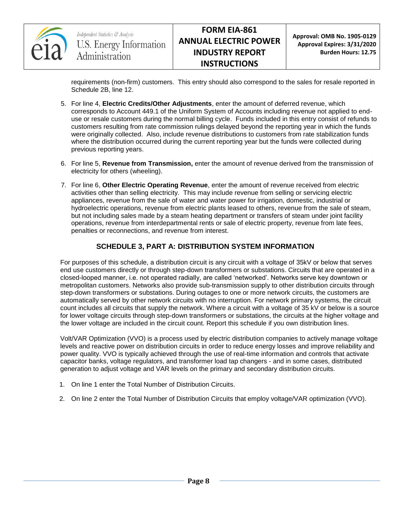

**Approval: OMB No. 1905-0129 Approval Expires: 3/31/2020 Burden Hours: 12.75**

requirements (non-firm) customers. This entry should also correspond to the sales for resale reported in Schedule 2B, line 12.

- 5. For line 4, **Electric Credits/Other Adjustments**, enter the amount of deferred revenue, which corresponds to Account 449.1 of the Uniform System of Accounts including revenue not applied to enduse or resale customers during the normal billing cycle. Funds included in this entry consist of refunds to customers resulting from rate commission rulings delayed beyond the reporting year in which the funds were originally collected. Also, include revenue distributions to customers from rate stabilization funds where the distribution occurred during the current reporting year but the funds were collected during previous reporting years.
- 6. For line 5, **Revenue from Transmission,** enter the amount of revenue derived from the transmission of electricity for others (wheeling).
- 7. For line 6, **Other Electric Operating Revenue**, enter the amount of revenue received from electric activities other than selling electricity. This may include revenue from selling or servicing electric appliances, revenue from the sale of water and water power for irrigation, domestic, industrial or hydroelectric operations, revenue from electric plants leased to others, revenue from the sale of steam, but not including sales made by a steam heating department or transfers of steam under joint facility operations, revenue from interdepartmental rents or sale of electric property, revenue from late fees, penalties or reconnections, and revenue from interest.

## **SCHEDULE 3, PART A: DISTRIBUTION SYSTEM INFORMATION**

For purposes of this schedule, a distribution circuit is any circuit with a voltage of 35kV or below that serves end use customers directly or through step-down transformers or substations. Circuits that are operated in a closed-looped manner, i.e. not operated radially, are called 'networked'. Networks serve key downtown or metropolitan customers. Networks also provide sub-transmission supply to other distribution circuits through step-down transformers or substations. During outages to one or more network circuits, the customers are automatically served by other network circuits with no interruption. For network primary systems, the circuit count includes all circuits that supply the network. Where a circuit with a voltage of 35 kV or below is a source for lower voltage circuits through step-down transformers or substations, the circuits at the higher voltage and the lower voltage are included in the circuit count. Report this schedule if you own distribution lines.

Volt/VAR Optimization (VVO) is a process used by electric distribution companies to actively manage voltage levels and reactive power on distribution circuits in order to reduce energy losses and improve reliability and power quality. VVO is typically achieved through the use of real-time information and controls that activate capacitor banks, voltage regulators, and transformer load tap changers - and in some cases, distributed generation to adjust voltage and VAR levels on the primary and secondary distribution circuits.

- 1. On line 1 enter the Total Number of Distribution Circuits.
- 2. On line 2 enter the Total Number of Distribution Circuits that employ voltage/VAR optimization (VVO).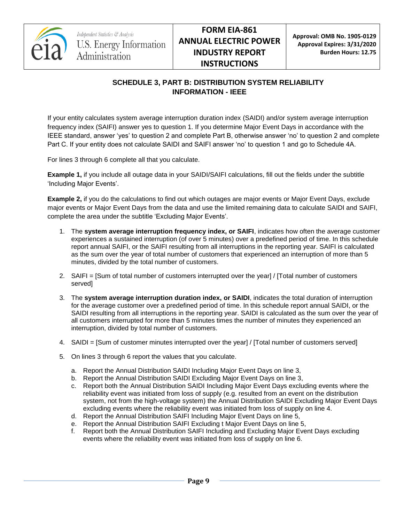

# **SCHEDULE 3, PART B: DISTRIBUTION SYSTEM RELIABILITY INFORMATION - IEEE**

If your entity calculates system average interruption duration index (SAIDI) and/or system average interruption frequency index (SAIFI) answer yes to question 1. If you determine Major Event Days in accordance with the IEEE standard, answer 'yes' to question 2 and complete Part B, otherwise answer 'no' to question 2 and complete Part C. If your entity does not calculate SAIDI and SAIFI answer 'no' to question 1 and go to Schedule 4A.

For lines 3 through 6 complete all that you calculate.

**Example 1,** if you include all outage data in your SAIDI/SAIFI calculations, fill out the fields under the subtitle 'Including Major Events'.

**Example 2,** if you do the calculations to find out which outages are major events or Major Event Days, exclude major events or Major Event Days from the data and use the limited remaining data to calculate SAIDI and SAIFI, complete the area under the subtitle 'Excluding Major Events'.

- 1. The **system average interruption frequency index, or SAIFI**, indicates how often the average customer experiences a sustained interruption (of over 5 minutes) over a predefined period of time. In this schedule report annual SAIFI, or the SAIFI resulting from all interruptions in the reporting year. SAIFI is calculated as the sum over the year of total number of customers that experienced an interruption of more than 5 minutes, divided by the total number of customers.
- 2. SAIFI = [Sum of total number of customers interrupted over the year] / [Total number of customers served]
- 3. The **system average interruption duration index, or SAIDI**, indicates the total duration of interruption for the average customer over a predefined period of time. In this schedule report annual SAIDI, or the SAIDI resulting from all interruptions in the reporting year. SAIDI is calculated as the sum over the year of all customers interrupted for more than 5 minutes times the number of minutes they experienced an interruption, divided by total number of customers.
- 4. SAIDI = [Sum of customer minutes interrupted over the year] / [Total number of customers served]
- 5. On lines 3 through 6 report the values that you calculate.
	- a. Report the Annual Distribution SAIDI Including Major Event Days on line 3,
	- b. Report the Annual Distribution SAIDI Excluding Major Event Days on line 3,
	- c. Report both the Annual Distribution SAIDI Including Major Event Days excluding events where the reliability event was initiated from loss of supply (e.g. resulted from an event on the distribution system, not from the high-voltage system) the Annual Distribution SAIDI Excluding Major Event Days excluding events where the reliability event was initiated from loss of supply on line 4.
	- d. Report the Annual Distribution SAIFI Including Major Event Days on line 5,
	- e. Report the Annual Distribution SAIFI Excluding t Major Event Days on line 5,
	- f. Report both the Annual Distribution SAIFI Including and Excluding Major Event Days excluding events where the reliability event was initiated from loss of supply on line 6.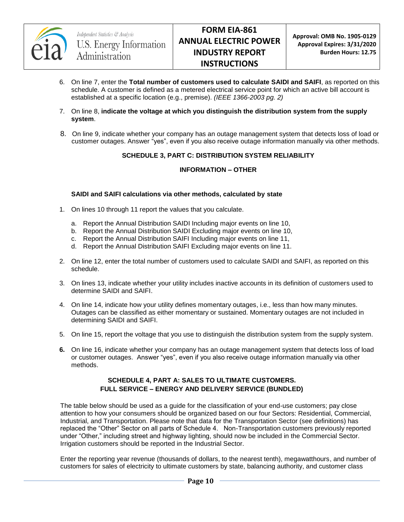

- 6. On line 7, enter the **Total number of customers used to calculate SAIDI and SAIFI**, as reported on this schedule. A customer is defined as a metered electrical service point for which an active bill account is established at a specific location (e.g., premise). *(IEEE 1366-2003 pg. 2)*
- 7. On line 8, **indicate the voltage at which you distinguish the distribution system from the supply system**.
- 8. On line 9, indicate whether your company has an outage management system that detects loss of load or customer outages. Answer "yes", even if you also receive outage information manually via other methods.

#### **SCHEDULE 3, PART C: DISTRIBUTION SYSTEM RELIABILITY**

#### **INFORMATION – OTHER**

#### **SAIDI and SAIFI calculations via other methods, calculated by state**

- 1. On lines 10 through 11 report the values that you calculate.
	- a. Report the Annual Distribution SAIDI Including major events on line 10,
	- b. Report the Annual Distribution SAIDI Excluding major events on line 10,
	- c. Report the Annual Distribution SAIFI Including major events on line 11,
	- d. Report the Annual Distribution SAIFI Excluding major events on line 11.
- 2. On line 12, enter the total number of customers used to calculate SAIDI and SAIFI, as reported on this schedule.
- 3. On lines 13, indicate whether your utility includes inactive accounts in its definition of customers used to determine SAIDI and SAIFI.
- 4. On line 14, indicate how your utility defines momentary outages, i.e., less than how many minutes. Outages can be classified as either momentary or sustained. Momentary outages are not included in determining SAIDI and SAIFI.
- 5. On line 15, report the voltage that you use to distinguish the distribution system from the supply system.
- **6.** On line 16, indicate whether your company has an outage management system that detects loss of load or customer outages. Answer "yes", even if you also receive outage information manually via other methods.

#### **SCHEDULE 4, PART A: SALES TO ULTIMATE CUSTOMERS. FULL SERVICE – ENERGY AND DELIVERY SERVICE (BUNDLED)**

The table below should be used as a guide for the classification of your end-use customers; pay close attention to how your consumers should be organized based on our four Sectors: Residential, Commercial, Industrial, and Transportation. Please note that data for the Transportation Sector (see definitions) has replaced the "Other" Sector on all parts of Schedule 4. Non-Transportation customers previously reported under "Other," including street and highway lighting, should now be included in the Commercial Sector. Irrigation customers should be reported in the Industrial Sector.

Enter the reporting year revenue (thousands of dollars, to the nearest tenth), megawatthours, and number of customers for sales of electricity to ultimate customers by state, balancing authority, and customer class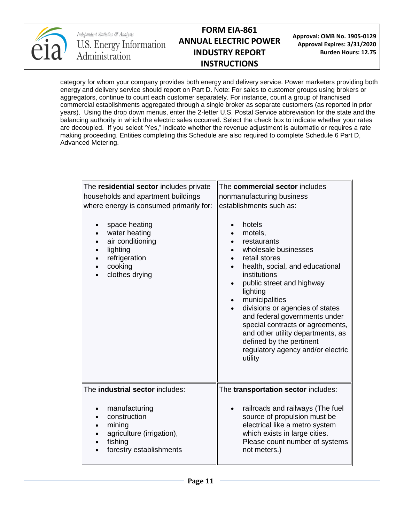

**Approval: OMB No. 1905-0129 Approval Expires: 3/31/2020 Burden Hours: 12.75**

category for whom your company provides both energy and delivery service. Power marketers providing both energy and delivery service should report on Part D. Note: For sales to customer groups using brokers or aggregators, continue to count each customer separately. For instance, count a group of franchised commercial establishments aggregated through a single broker as separate customers (as reported in prior years). Using the drop down menus, enter the 2-letter U.S. Postal Service abbreviation for the state and the balancing authority in which the electric sales occurred. Select the check box to indicate whether your rates are decoupled. If you select 'Yes," indicate whether the revenue adjustment is automatic or requires a rate making proceeding. Entities completing this Schedule are also required to complete Schedule 6 Part D, Advanced Metering.

| The residential sector includes private<br>households and apartment buildings<br>where energy is consumed primarily for:<br>space heating<br>$\bullet$<br>water heating<br>$\bullet$<br>air conditioning<br>lighting<br>refrigeration<br>cooking<br>clothes drying | The commercial sector includes<br>nonmanufacturing business<br>establishments such as:<br>hotels<br>$\bullet$<br>motels,<br>$\bullet$<br>restaurants<br>wholesale businesses<br>retail stores<br>$\bullet$<br>health, social, and educational<br>$\bullet$<br>institutions<br>public street and highway<br>$\bullet$<br>lighting<br>municipalities<br>$\bullet$<br>divisions or agencies of states<br>$\bullet$<br>and federal governments under<br>special contracts or agreements,<br>and other utility departments, as<br>defined by the pertinent<br>regulatory agency and/or electric<br>utility |
|--------------------------------------------------------------------------------------------------------------------------------------------------------------------------------------------------------------------------------------------------------------------|-------------------------------------------------------------------------------------------------------------------------------------------------------------------------------------------------------------------------------------------------------------------------------------------------------------------------------------------------------------------------------------------------------------------------------------------------------------------------------------------------------------------------------------------------------------------------------------------------------|
| The industrial sector includes:                                                                                                                                                                                                                                    | The transportation sector includes:                                                                                                                                                                                                                                                                                                                                                                                                                                                                                                                                                                   |
| manufacturing<br>construction<br>mining<br>agriculture (irrigation),<br>fishing<br>forestry establishments                                                                                                                                                         | railroads and railways (The fuel<br>source of propulsion must be<br>electrical like a metro system<br>which exists in large cities.<br>Please count number of systems<br>not meters.)                                                                                                                                                                                                                                                                                                                                                                                                                 |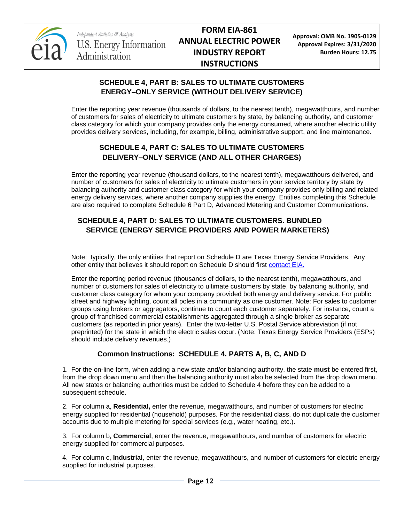

**Approval: OMB No. 1905-0129 Approval Expires: 3/31/2020 Burden Hours: 12.75**

## **SCHEDULE 4, PART B: SALES TO ULTIMATE CUSTOMERS ENERGY–ONLY SERVICE (WITHOUT DELIVERY SERVICE)**

Enter the reporting year revenue (thousands of dollars, to the nearest tenth), megawatthours, and number of customers for sales of electricity to ultimate customers by state, by balancing authority, and customer class category for which your company provides only the energy consumed, where another electric utility provides delivery services, including, for example, billing, administrative support, and line maintenance.

## **SCHEDULE 4, PART C: SALES TO ULTIMATE CUSTOMERS DELIVERY–ONLY SERVICE (AND ALL OTHER CHARGES)**

Enter the reporting year revenue (thousand dollars, to the nearest tenth), megawatthours delivered, and number of customers for sales of electricity to ultimate customers in your service territory by state by balancing authority and customer class category for which your company provides only billing and related energy delivery services, where another company supplies the energy. Entities completing this Schedule are also required to complete Schedule 6 Part D, Advanced Metering and Customer Communications.

# **SCHEDULE 4, PART D: SALES TO ULTIMATE CUSTOMERS. BUNDLED SERVICE (ENERGY SERVICE PROVIDERS AND POWER MARKETERS)**

Note: typically, the only entities that report on Schedule D are Texas Energy Service Providers. Any other entity that believes it should report on Schedule D should first [contact EIA.](mailto:EIA-861@eia.gov)

Enter the reporting period revenue (thousands of dollars, to the nearest tenth), megawatthours, and number of customers for sales of electricity to ultimate customers by state, by balancing authority, and customer class category for whom your company provided both energy and delivery service. For public street and highway lighting, count all poles in a community as one customer. Note: For sales to customer groups using brokers or aggregators, continue to count each customer separately. For instance, count a group of franchised commercial establishments aggregated through a single broker as separate customers (as reported in prior years). Enter the two-letter U.S. Postal Service abbreviation (if not preprinted) for the state in which the electric sales occur. (Note: Texas Energy Service Providers (ESPs) should include delivery revenues.)

## **Common Instructions: SCHEDULE 4. PARTS A, B, C, AND D**

1. For the on-line form, when adding a new state and/or balancing authority, the state **must** be entered first, from the drop down menu and then the balancing authority must also be selected from the drop down menu. All new states or balancing authorities must be added to Schedule 4 before they can be added to a subsequent schedule.

2. For column a, **Residential,** enter the revenue, megawatthours, and number of customers for electric energy supplied for residential (household) purposes. For the residential class, do not duplicate the customer accounts due to multiple metering for special services (e.g., water heating, etc.).

3. For column b, **Commercial**, enter the revenue, megawatthours, and number of customers for electric energy supplied for commercial purposes.

4. For column c, **Industrial**, enter the revenue, megawatthours, and number of customers for electric energy supplied for industrial purposes.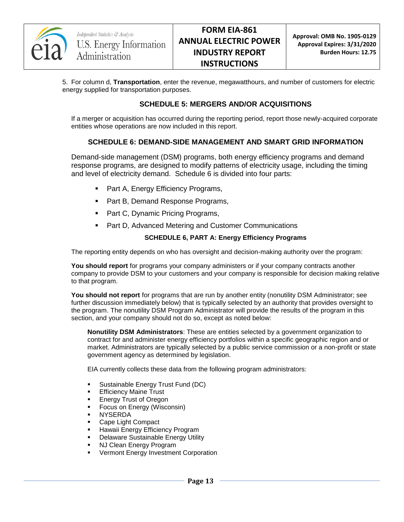

5. For column d, **Transportation**, enter the revenue, megawatthours, and number of customers for electric energy supplied for transportation purposes.

#### **SCHEDULE 5: MERGERS AND/OR ACQUISITIONS**

If a merger or acquisition has occurred during the reporting period, report those newly-acquired corporate entities whose operations are now included in this report.

#### **SCHEDULE 6: DEMAND-SIDE MANAGEMENT AND SMART GRID INFORMATION**

Demand-side management (DSM) programs, both energy efficiency programs and demand response programs, are designed to modify patterns of electricity usage, including the timing and level of electricity demand. Schedule 6 is divided into four parts:

- Part A, Energy Efficiency Programs,
- Part B, Demand Response Programs,
- Part C, Dynamic Pricing Programs,
- **Part D, Advanced Metering and Customer Communications**

#### **SCHEDULE 6, PART A: Energy Efficiency Programs**

The reporting entity depends on who has oversight and decision-making authority over the program:

**You should report** for programs your company administers or if your company contracts another company to provide DSM to your customers and your company is responsible for decision making relative to that program.

**You should not report** for programs that are run by another entity (nonutility DSM Administrator; see further discussion immediately below) that is typically selected by an authority that provides oversight to the program. The nonutility DSM Program Administrator will provide the results of the program in this section, and your company should not do so, except as noted below:

**Nonutility DSM Administrators**: These are entities selected by a government organization to contract for and administer energy efficiency portfolios within a specific geographic region and or market. Administrators are typically selected by a public service commission or a non-profit or state government agency as determined by legislation.

EIA currently collects these data from the following program administrators:

- **Sustainable Energy Trust Fund (DC)**
- Efficiency Maine Trust
- Energy Trust of Oregon
- Focus on Energy (Wisconsin)
- NYSERDA
- **Cape Light Compact**
- **Hawaii Energy Efficiency Program**
- **-** Delaware Sustainable Energy Utility
- NJ Clean Energy Program
- Vermont Energy Investment Corporation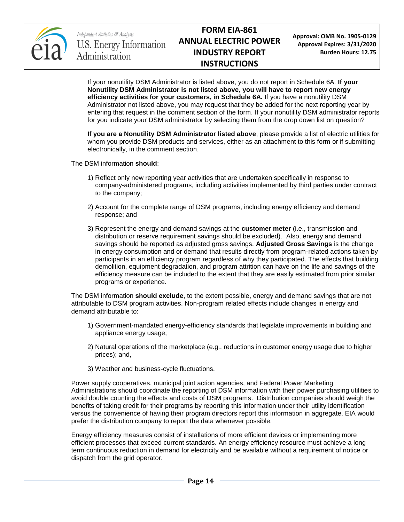

**Approval: OMB No. 1905-0129 Approval Expires: 3/31/2020 Burden Hours: 12.75**

If your nonutility DSM Administrator is listed above, you do not report in Schedule 6A. **If your Nonutility DSM Administrator is not listed above, you will have to report new energy efficiency activities for your customers, in Schedule 6A.** If you have a nonutility DSM Administrator not listed above, you may request that they be added for the next reporting year by entering that request in the comment section of the form. If your nonutility DSM administrator reports for you indicate your DSM administrator by selecting them from the drop down list on question?

**If you are a Nonutility DSM Administrator listed above**, please provide a list of electric utilities for whom you provide DSM products and services, either as an attachment to this form or if submitting electronically, in the comment section.

The DSM information **should**:

- 1) Reflect only new reporting year activities that are undertaken specifically in response to company-administered programs, including activities implemented by third parties under contract to the company;
- 2) Account for the complete range of DSM programs, including energy efficiency and demand response; and
- 3) Represent the energy and demand savings at the **customer meter** (i.e., transmission and distribution or reserve requirement savings should be excluded). Also, energy and demand savings should be reported as adjusted gross savings. **Adjusted Gross Savings** is the change in energy consumption and or demand that results directly from program-related actions taken by participants in an efficiency program regardless of why they participated. The effects that building demolition, equipment degradation, and program attrition can have on the life and savings of the efficiency measure can be included to the extent that they are easily estimated from prior similar programs or experience.

The DSM information **should exclude**, to the extent possible, energy and demand savings that are not attributable to DSM program activities. Non-program related effects include changes in energy and demand attributable to:

- 1) Government-mandated energy-efficiency standards that legislate improvements in building and appliance energy usage;
- 2) Natural operations of the marketplace (e.g., reductions in customer energy usage due to higher prices); and,
- 3) Weather and business-cycle fluctuations.

Power supply cooperatives, municipal joint action agencies, and Federal Power Marketing Administrations should coordinate the reporting of DSM information with their power purchasing utilities to avoid double counting the effects and costs of DSM programs. Distribution companies should weigh the benefits of taking credit for their programs by reporting this information under their utility identification versus the convenience of having their program directors report this information in aggregate. EIA would prefer the distribution company to report the data whenever possible.

Energy efficiency measures consist of installations of more efficient devices or implementing more efficient processes that exceed current standards. An energy efficiency resource must achieve a long term continuous reduction in demand for electricity and be available without a requirement of notice or dispatch from the grid operator.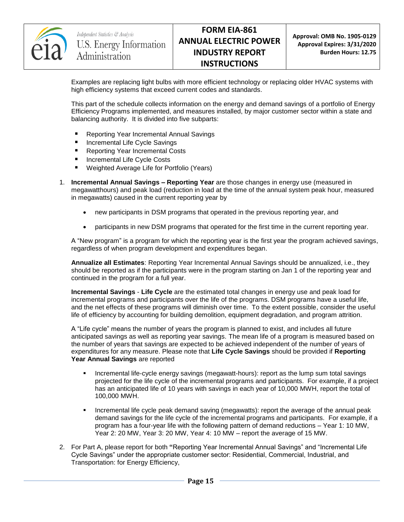

**Approval: OMB No. 1905-0129 Approval Expires: 3/31/2020 Burden Hours: 12.75**

Examples are replacing light bulbs with more efficient technology or replacing older HVAC systems with high efficiency systems that exceed current codes and standards.

This part of the schedule collects information on the energy and demand savings of a portfolio of Energy Efficiency Programs implemented, and measures installed, by major customer sector within a state and balancing authority. It is divided into five subparts:

- Reporting Year Incremental Annual Savings
- Incremental Life Cycle Savings
- Reporting Year Incremental Costs
- **Incremental Life Cycle Costs**
- Weighted Average Life for Portfolio (Years)
- 1. **Incremental Annual Savings – Reporting Year** are those changes in energy use (measured in megawatthours) and peak load (reduction in load at the time of the annual system peak hour, measured in megawatts) caused in the current reporting year by
	- new participants in DSM programs that operated in the previous reporting year, and
	- participants in new DSM programs that operated for the first time in the current reporting year.

A "New program" is a program for which the reporting year is the first year the program achieved savings, regardless of when program development and expenditures began.

**Annualize all Estimates**: Reporting Year Incremental Annual Savings should be annualized, i.e., they should be reported as if the participants were in the program starting on Jan 1 of the reporting year and continued in the program for a full year.

**Incremental Savings** - **Life Cycle** are the estimated total changes in energy use and peak load for incremental programs and participants over the life of the programs. DSM programs have a useful life, and the net effects of these programs will diminish over time. To the extent possible, consider the useful life of efficiency by accounting for building demolition, equipment degradation, and program attrition.

A "Life cycle" means the number of years the program is planned to exist, and includes all future anticipated savings as well as reporting year savings. The mean life of a program is measured based on the number of years that savings are expected to be achieved independent of the number of years of expenditures for any measure. Please note that **Life Cycle Savings** should be provided if **Reporting Year Annual Savings** are reported

- **Incremental life-cycle energy savings (megawatt-hours): report as the lump sum total savings** projected for the life cycle of the incremental programs and participants. For example, if a project has an anticipated life of 10 years with savings in each year of 10,000 MWH, report the total of 100,000 MWH.
- Incremental life cycle peak demand saving (megawatts): report the average of the annual peak demand savings for the life cycle of the incremental programs and participants. For example, if a program has a four-year life with the following pattern of demand reductions – Year 1: 10 MW, Year 2: 20 MW, Year 3: 20 MW, Year 4: 10 MW – report the average of 15 MW.
- 2. For Part A, please report for both **"**Reporting Year Incremental Annual Savings" and "Incremental Life Cycle Savings" under the appropriate customer sector: Residential, Commercial, Industrial, and Transportation: for Energy Efficiency,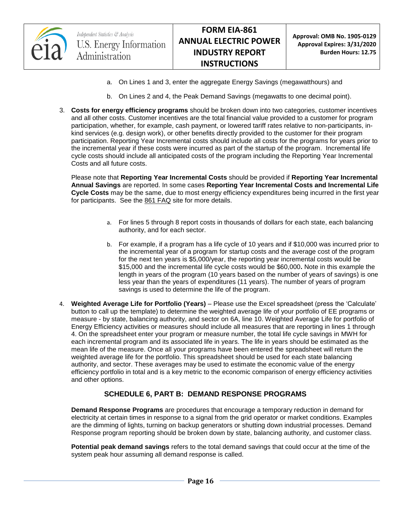

- a. On Lines 1 and 3, enter the aggregate Energy Savings (megawatthours) and
- b. On Lines 2 and 4, the Peak Demand Savings (megawatts to one decimal point).
- 3. **Costs for energy efficiency programs** should be broken down into two categories, customer incentives and all other costs. Customer incentives are the total financial value provided to a customer for program participation, whether, for example, cash payment, or lowered tariff rates relative to non-participants, inkind services (e.g. design work), or other benefits directly provided to the customer for their program participation. Reporting Year Incremental costs should include all costs for the programs for years prior to the incremental year if these costs were incurred as part of the startup of the program. Incremental life cycle costs should include all anticipated costs of the program including the Reporting Year Incremental Costs and all future costs.

Please note that **Reporting Year Incremental Costs** should be provided if **Reporting Year Incremental Annual Savings** are reported. In some cases **Reporting Year Incremental Costs and Incremental Life Cycle Costs** may be the same, due to most energy efficiency expenditures being incurred in the first year for participants. See the [861 FAQ](http://www.eia.gov/survey/form/eia_861/faqs.cfm) site for more details.

- a. For lines 5 through 8 report costs in thousands of dollars for each state, each balancing authority, and for each sector.
- b. For example, if a program has a life cycle of 10 years and if \$10,000 was incurred prior to the incremental year of a program for startup costs and the average cost of the program for the next ten years is \$5,000/year, the reporting year incremental costs would be \$15,000 and the incremental life cycle costs would be \$60,000**.** Note in this example the length in years of the program (10 years based on the number of years of savings) is one less year than the years of expenditures (11 years). The number of years of program savings is used to determine the life of the program.
- 4. **Weighted Average Life for Portfolio (Years)** Please use the Excel spreadsheet (press the 'Calculate' button to call up the template) to determine the weighted average life of your portfolio of EE programs or measure - by state, balancing authority, and sector on 6A, line 10. Weighted Average Life for portfolio of Energy Efficiency activities or measures should include all measures that are reporting in lines 1 through 4. On the spreadsheet enter your program or measure number, the total life cycle savings in MWH for each incremental program and its associated life in years. The life in years should be estimated as the mean life of the measure. Once all your programs have been entered the spreadsheet will return the weighted average life for the portfolio. This spreadsheet should be used for each state balancing authority, and sector. These averages may be used to estimate the economic value of the energy efficiency portfolio in total and is a key metric to the economic comparison of energy efficiency activities and other options.

## **SCHEDULE 6, PART B: DEMAND RESPONSE PROGRAMS**

**Demand Response Programs** are procedures that encourage a temporary reduction in demand for electricity at certain times in response to a signal from the grid operator or market conditions. Examples are the dimming of lights, turning on backup generators or shutting down industrial processes. Demand Response program reporting should be broken down by state, balancing authority, and customer class.

**Potential peak demand savings** refers to the total demand savings that could occur at the time of the system peak hour assuming all demand response is called.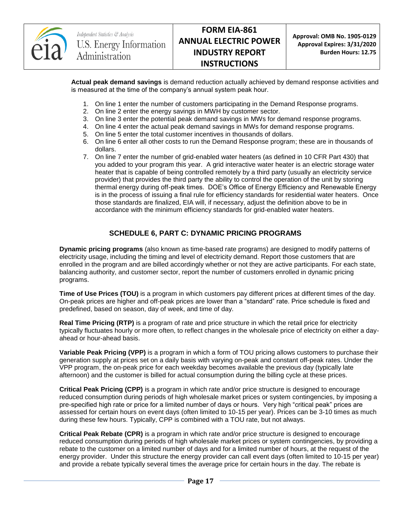

**Approval: OMB No. 1905-0129 Approval Expires: 3/31/2020 Burden Hours: 12.75**

**Actual peak demand savings** is demand reduction actually achieved by demand response activities and is measured at the time of the company's annual system peak hour.

- 1. On line 1 enter the number of customers participating in the Demand Response programs.
- 2. On line 2 enter the energy savings in MWH by customer sector.
- 3. On line 3 enter the potential peak demand savings in MWs for demand response programs.
- 4. On line 4 enter the actual peak demand savings in MWs for demand response programs.
- 5. On line 5 enter the total customer incentives in thousands of dollars.
- 6. On line 6 enter all other costs to run the Demand Response program; these are in thousands of dollars.
- 7. On line 7 enter the number of grid-enabled water heaters (as defined in 10 CFR Part 430) that you added to your program this year. A grid interactive water heater is an electric storage water heater that is capable of being controlled remotely by a third party (usually an electricity service provider) that provides the third party the ability to control the operation of the unit by storing thermal energy during off-peak times. DOE's Office of Energy Efficiency and Renewable Energy is in the process of issuing a final rule for efficiency standards for residential water heaters. Once those standards are finalized, EIA will, if necessary, adjust the definition above to be in accordance with the minimum efficiency standards for grid-enabled water heaters.

## **SCHEDULE 6, PART C: DYNAMIC PRICING PROGRAMS**

**Dynamic pricing programs** (also known as time-based rate programs) are designed to modify patterns of electricity usage, including the timing and level of electricity demand. Report those customers that are enrolled in the program and are billed accordingly whether or not they are active participants. For each state, balancing authority, and customer sector, report the number of customers enrolled in dynamic pricing programs.

**Time of Use Prices (TOU)** is a program in which customers pay different prices at different times of the day. On-peak prices are higher and off-peak prices are lower than a "standard" rate. Price schedule is fixed and predefined, based on season, day of week, and time of day.

**Real Time Pricing (RTP)** is a program of rate and price structure in which the retail price for electricity typically fluctuates hourly or more often, to reflect changes in the wholesale price of electricity on either a dayahead or hour-ahead basis.

**Variable Peak Pricing (VPP)** is a program in which a form of TOU pricing allows customers to purchase their generation supply at prices set on a daily basis with varying on-peak and constant off-peak rates. Under the VPP program, the on-peak price for each weekday becomes available the previous day (typically late afternoon) and the customer is billed for actual consumption during the billing cycle at these prices.

**Critical Peak Pricing (CPP)** is a program in which rate and/or price structure is designed to encourage reduced consumption during periods of high wholesale market prices or system contingencies, by imposing a pre-specified high rate or price for a limited number of days or hours. Very high "critical peak" prices are assessed for certain hours on event days (often limited to 10-15 per year). Prices can be 3-10 times as much during these few hours. Typically, CPP is combined with a TOU rate, but not always.

**Critical Peak Rebate (CPR)** is a program in which rate and/or price structure is designed to encourage reduced consumption during periods of high wholesale market prices or system contingencies, by providing a rebate to the customer on a limited number of days and for a limited number of hours, at the request of the energy provider. Under this structure the energy provider can call event days (often limited to 10-15 per year) and provide a rebate typically several times the average price for certain hours in the day. The rebate is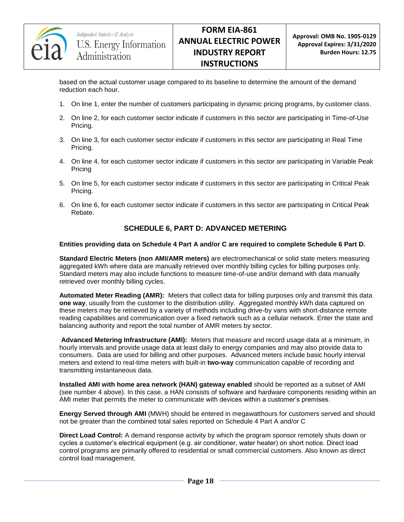

based on the actual customer usage compared to its baseline to determine the amount of the demand reduction each hour.

- 1. On line 1, enter the number of customers participating in dynamic pricing programs, by customer class.
- 2. On line 2, for each customer sector indicate if customers in this sector are participating in Time-of-Use Pricing.
- 3. On line 3, for each customer sector indicate if customers in this sector are participating in Real Time Pricing.
- 4. On line 4, for each customer sector indicate if customers in this sector are participating in Variable Peak Pricing
- 5. On line 5, for each customer sector indicate if customers in this sector are participating in Critical Peak Pricing.
- 6. On line 6, for each customer sector indicate if customers in this sector are participating in Critical Peak Rebate.

## **SCHEDULE 6, PART D: ADVANCED METERING**

#### **Entities providing data on Schedule 4 Part A and/or C are required to complete Schedule 6 Part D.**

**Standard Electric Meters (non AMI/AMR meters)** are electromechanical or solid state meters measuring aggregated kWh where data are manually retrieved over monthly billing cycles for billing purposes only. Standard meters may also include functions to measure time-of-use and/or demand with data manually retrieved over monthly billing cycles.

**Automated Meter Reading (AMR):** Meters that collect data for billing purposes only and transmit this data **one way**, usually from the customer to the distribution utility. Aggregated monthly kWh data captured on these meters may be retrieved by a variety of methods including drive-by vans with short-distance remote reading capabilities and communication over a fixed network such as a cellular network. Enter the state and balancing authority and report the total number of AMR meters by sector.

**Advanced Metering Infrastructure (AMI):** Meters that measure and record usage data at a minimum, in hourly intervals and provide usage data at least daily to energy companies and may also provide data to consumers. Data are used for billing and other purposes. Advanced meters include basic hourly interval meters and extend to real-time meters with built-in **two-way** communication capable of recording and transmitting instantaneous data.

**Installed AMI with home area network (HAN) gateway enabled** should be reported as a subset of AMI (see number 4 above). In this case, a HAN consists of software and hardware components residing within an AMI meter that permits the meter to communicate with devices within a customer's premises.

**Energy Served through AMI** (MWH) should be entered in megawatthours for customers served and should not be greater than the combined total sales reported on Schedule 4 Part A and/or C

**Direct Load Control:** A demand response activity by which the program sponsor remotely shuts down or cycles a customer's electrical equipment (e.g. air conditioner, water heater) on short notice. Direct load control programs are primarily offered to residential or small commercial customers. Also known as direct control load management.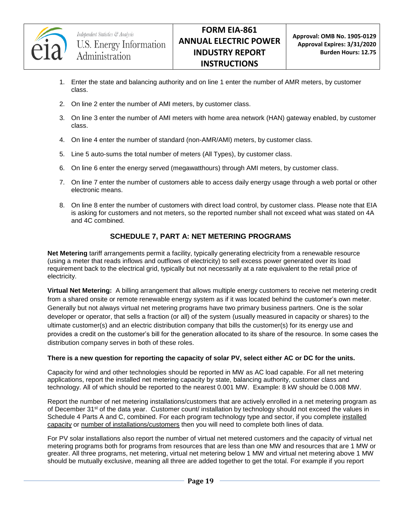

- 1. Enter the state and balancing authority and on line 1 enter the number of AMR meters, by customer class.
- 2. On line 2 enter the number of AMI meters, by customer class.
- 3. On line 3 enter the number of AMI meters with home area network (HAN) gateway enabled, by customer class.
- 4. On line 4 enter the number of standard (non-AMR/AMI) meters, by customer class.
- 5. Line 5 auto-sums the total number of meters (All Types), by customer class.
- 6. On line 6 enter the energy served (megawatthours) through AMI meters, by customer class.
- 7. On line 7 enter the number of customers able to access daily energy usage through a web portal or other electronic means.
- 8. On line 8 enter the number of customers with direct load control, by customer class. Please note that EIA is asking for customers and not meters, so the reported number shall not exceed what was stated on 4A and 4C combined.

## **SCHEDULE 7, PART A: NET METERING PROGRAMS**

**Net Metering** tariff arrangements permit a facility, typically generating electricity from a renewable resource (using a meter that reads inflows and outflows of electricity) to sell excess power generated over its load requirement back to the electrical grid, typically but not necessarily at a rate equivalent to the retail price of electricity.

**Virtual Net Metering:** A billing arrangement that allows multiple energy customers to receive net metering credit from a shared onsite or remote renewable energy system as if it was located behind the customer's own meter. Generally but not always virtual net metering programs have two primary business partners. One is the solar developer or operator, that sells a fraction (or all) of the system (usually measured in capacity or shares) to the ultimate customer(s) and an electric distribution company that bills the customer(s) for its energy use and provides a credit on the customer's bill for the generation allocated to its share of the resource. In some cases the distribution company serves in both of these roles.

#### **There is a new question for reporting the capacity of solar PV, select either AC or DC for the units.**

Capacity for wind and other technologies should be reported in MW as AC load capable. For all net metering applications, report the installed net metering capacity by state, balancing authority, customer class and technology. All of which should be reported to the nearest 0.001 MW. Example: 8 kW should be 0.008 MW.

Report the number of net metering installations/customers that are actively enrolled in a net metering program as of December 31<sup>st</sup> of the data year. Customer count/ installation by technology should not exceed the values in Schedule 4 Parts A and C, combined. For each program technology type and sector, if you complete installed capacity or number of installations/customers then you will need to complete both lines of data.

For PV solar installations also report the number of virtual net metered customers and the capacity of virtual net metering programs both for programs from resources that are less than one MW and resources that are 1 MW or greater. All three programs, net metering, virtual net metering below 1 MW and virtual net metering above 1 MW should be mutually exclusive, meaning all three are added together to get the total. For example if you report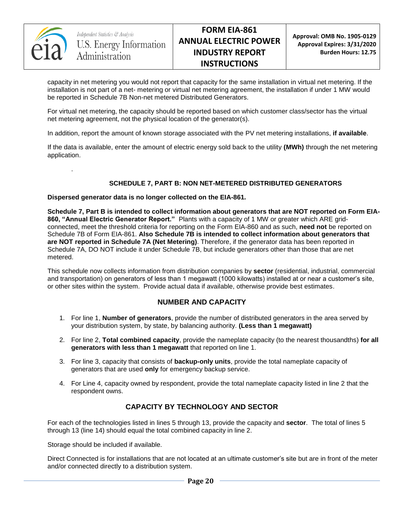

.

**Approval: OMB No. 1905-0129 Approval Expires: 3/31/2020 Burden Hours: 12.75**

capacity in net metering you would not report that capacity for the same installation in virtual net metering. If the installation is not part of a net- metering or virtual net metering agreement, the installation if under 1 MW would be reported in Schedule 7B Non-net metered Distributed Generators.

For virtual net metering, the capacity should be reported based on which customer class/sector has the virtual net metering agreement, not the physical location of the generator(s).

In addition, report the amount of known storage associated with the PV net metering installations, **if available**.

If the data is available, enter the amount of electric energy sold back to the utility **(MWh)** through the net metering application.

#### **SCHEDULE 7, PART B: NON NET-METERED DISTRIBUTED GENERATORS**

#### **Dispersed generator data is no longer collected on the EIA-861.**

**Schedule 7, Part B is intended to collect information about generators that are NOT reported on Form EIA-860, "Annual Electric Generator Report."** Plants with a capacity of 1 MW or greater which ARE gridconnected, meet the threshold criteria for reporting on the Form EIA-860 and as such, **need not** be reported on Schedule 7B of Form EIA-861. **Also Schedule 7B is intended to collect information about generators that are NOT reported in Schedule 7A (Net Metering)**. Therefore, if the generator data has been reported in Schedule 7A, DO NOT include it under Schedule 7B, but include generators other than those that are net metered.

This schedule now collects information from distribution companies by **sector** (residential, industrial, commercial and transportation) on generators of less than 1 megawatt (1000 kilowatts) installed at or near a customer's site, or other sites within the system. Provide actual data if available, otherwise provide best estimates.

#### **NUMBER AND CAPACITY**

- 1. For line 1, **Number of generators**, provide the number of distributed generators in the area served by your distribution system, by state, by balancing authority. **(Less than 1 megawatt)**
- 2. For line 2, **Total combined capacity**, provide the nameplate capacity (to the nearest thousandths) **for all generators with less than 1 megawatt** that reported on line 1.
- 3. For line 3, capacity that consists of **backup-only units**, provide the total nameplate capacity of generators that are used **only** for emergency backup service.
- 4. For Line 4, capacity owned by respondent, provide the total nameplate capacity listed in line 2 that the respondent owns.

## **CAPACITY BY TECHNOLOGY AND SECTOR**

For each of the technologies listed in lines 5 through 13, provide the capacity and **sector**. The total of lines 5 through 13 (line 14) should equal the total combined capacity in line 2.

Storage should be included if available.

Direct Connected is for installations that are not located at an ultimate customer's site but are in front of the meter and/or connected directly to a distribution system.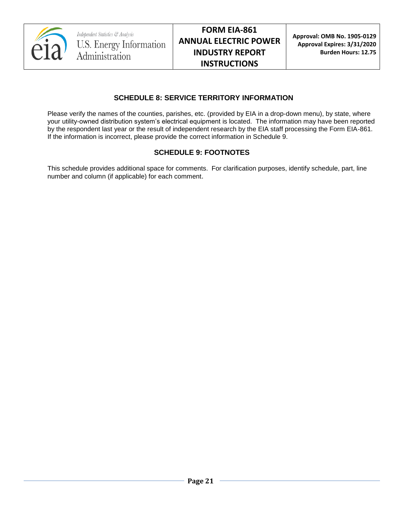

## **SCHEDULE 8: SERVICE TERRITORY INFORMATION**

Please verify the names of the counties, parishes, etc. (provided by EIA in a drop-down menu), by state, where your utility-owned distribution system's electrical equipment is located. The information may have been reported by the respondent last year or the result of independent research by the EIA staff processing the Form EIA-861. If the information is incorrect, please provide the correct information in Schedule 9.

## **SCHEDULE 9: FOOTNOTES**

This schedule provides additional space for comments. For clarification purposes, identify schedule, part, line number and column (if applicable) for each comment.